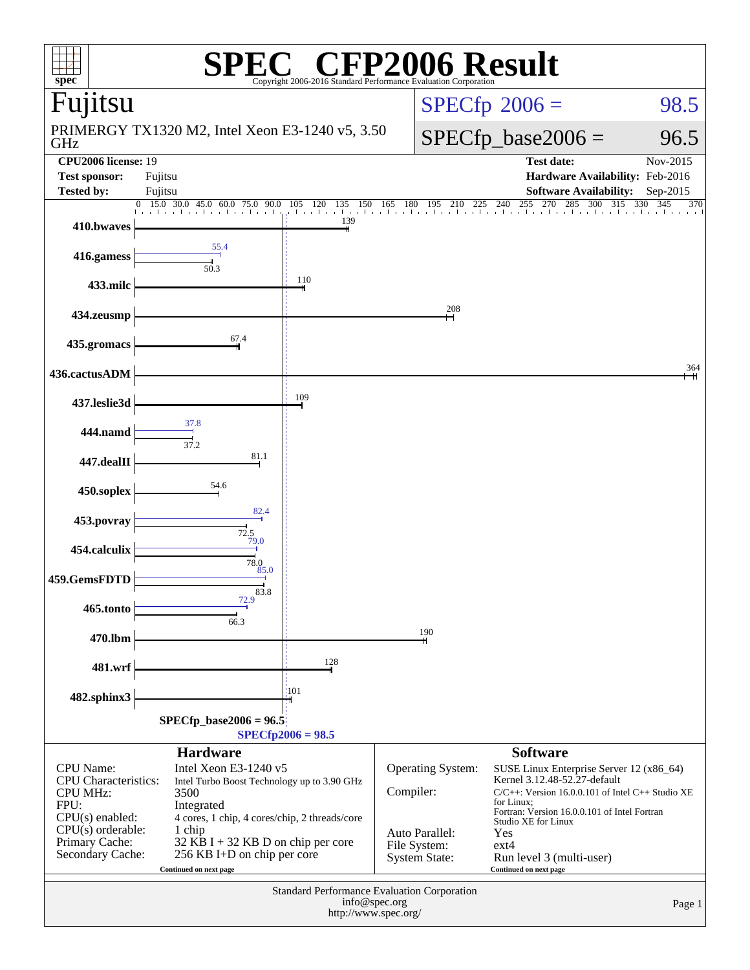| P2006 Result<br>$\boldsymbol{\mathsf{F}}$<br>$\mathbb{R}$<br>spec <sup>®</sup><br>Copyright 2006-2016 Standard Performance Evaluation Corporation |                                                             |                              |                                |                                                                                                                                      |                      |  |  |  |  |
|---------------------------------------------------------------------------------------------------------------------------------------------------|-------------------------------------------------------------|------------------------------|--------------------------------|--------------------------------------------------------------------------------------------------------------------------------------|----------------------|--|--|--|--|
| Fujitsu                                                                                                                                           |                                                             |                              |                                | $SPECfp^{\circ}2006 =$                                                                                                               | 98.5                 |  |  |  |  |
| GHz                                                                                                                                               | PRIMERGY TX1320 M2, Intel Xeon E3-1240 v5, 3.50             |                              |                                | $SPECfp\_base2006 =$<br>96.5                                                                                                         |                      |  |  |  |  |
| <b>CPU2006</b> license: 19<br><b>Test sponsor:</b><br><b>Tested by:</b>                                                                           | Fujitsu<br>Fujitsu                                          |                              |                                | <b>Test date:</b><br>Hardware Availability: Feb-2016<br><b>Software Availability:</b>                                                | Nov-2015<br>Sep-2015 |  |  |  |  |
|                                                                                                                                                   | $30.0$ 45.0 60.0 75.0<br>$0\quad 15.0$<br>90.0<br>.         | 105 120<br>135<br>150<br>139 | 165<br>- 180<br>195<br>210     | 285<br>255<br>270<br>300<br>315<br>240<br>225<br>that the chiaracter of a chiaracter of a chiaracter of a chiaracter of a chiaracter | 330<br>345<br>370    |  |  |  |  |
| 410.bwaves                                                                                                                                        | 55.4                                                        |                              |                                |                                                                                                                                      |                      |  |  |  |  |
| 416.gamess                                                                                                                                        | 50.3                                                        |                              |                                |                                                                                                                                      |                      |  |  |  |  |
| 433.milc                                                                                                                                          |                                                             | 110                          |                                |                                                                                                                                      |                      |  |  |  |  |
| 434.zeusmp                                                                                                                                        |                                                             |                              | 208                            |                                                                                                                                      |                      |  |  |  |  |
| 435.gromacs                                                                                                                                       | 67.4                                                        |                              |                                |                                                                                                                                      |                      |  |  |  |  |
| 436.cactusADM                                                                                                                                     |                                                             |                              |                                |                                                                                                                                      | 364                  |  |  |  |  |
| 437.leslie3d                                                                                                                                      |                                                             | 109                          |                                |                                                                                                                                      |                      |  |  |  |  |
| 444.namd                                                                                                                                          | 37.8                                                        |                              |                                |                                                                                                                                      |                      |  |  |  |  |
| 447.dealII                                                                                                                                        | 37.2<br>81.1                                                |                              |                                |                                                                                                                                      |                      |  |  |  |  |
| 450.soplex                                                                                                                                        | 54.6                                                        |                              |                                |                                                                                                                                      |                      |  |  |  |  |
| 453.povray                                                                                                                                        | 82.4                                                        |                              |                                |                                                                                                                                      |                      |  |  |  |  |
| 454.calculix                                                                                                                                      | $\frac{72.5}{72.0}$                                         |                              |                                |                                                                                                                                      |                      |  |  |  |  |
| 459.GemsFDTD                                                                                                                                      | 78.0<br>85.0                                                |                              |                                |                                                                                                                                      |                      |  |  |  |  |
| 465.tonto                                                                                                                                         | 83.8<br>72.9                                                |                              |                                |                                                                                                                                      |                      |  |  |  |  |
|                                                                                                                                                   | 66.3                                                        |                              | 190                            |                                                                                                                                      |                      |  |  |  |  |
| 470.lbm                                                                                                                                           |                                                             | 128                          |                                |                                                                                                                                      |                      |  |  |  |  |
| 481.wrf                                                                                                                                           |                                                             |                              |                                |                                                                                                                                      |                      |  |  |  |  |
| 482.sphinx3                                                                                                                                       |                                                             | 101                          |                                |                                                                                                                                      |                      |  |  |  |  |
| $SPECfp\_base2006 = 96.5$<br>$SPECfp2006 = 98.5$                                                                                                  |                                                             |                              |                                |                                                                                                                                      |                      |  |  |  |  |
| <b>CPU</b> Name:                                                                                                                                  | <b>Hardware</b><br>Intel Xeon E3-1240 v5                    |                              | Operating System:              | <b>Software</b><br>SUSE Linux Enterprise Server 12 (x86_64)                                                                          |                      |  |  |  |  |
| <b>CPU</b> Characteristics:<br><b>CPU MHz:</b>                                                                                                    | Intel Turbo Boost Technology up to 3.90 GHz<br>3500         |                              | Compiler:                      | Kernel 3.12.48-52.27-default<br>$C/C++$ : Version 16.0.0.101 of Intel $C++$ Studio XE                                                |                      |  |  |  |  |
| FPU:<br>$CPU(s)$ enabled:                                                                                                                         | Integrated<br>4 cores, 1 chip, 4 cores/chip, 2 threads/core |                              |                                | for Linux;<br>Fortran: Version 16.0.0.101 of Intel Fortran<br>Studio XE for Linux                                                    |                      |  |  |  |  |
| $CPU(s)$ orderable:<br>Primary Cache:                                                                                                             | 1 chip<br>$32$ KB I + 32 KB D on chip per core              |                              | Auto Parallel:<br>File System: | Yes<br>$ext{4}$                                                                                                                      |                      |  |  |  |  |
| Secondary Cache:                                                                                                                                  | 256 KB I+D on chip per core<br>Continued on next page       |                              | <b>System State:</b>           | Run level 3 (multi-user)<br>Continued on next page                                                                                   |                      |  |  |  |  |
| <b>Standard Performance Evaluation Corporation</b><br>info@spec.org                                                                               |                                                             |                              |                                |                                                                                                                                      |                      |  |  |  |  |
|                                                                                                                                                   |                                                             | http://www.spec.org/         |                                |                                                                                                                                      | Page 1               |  |  |  |  |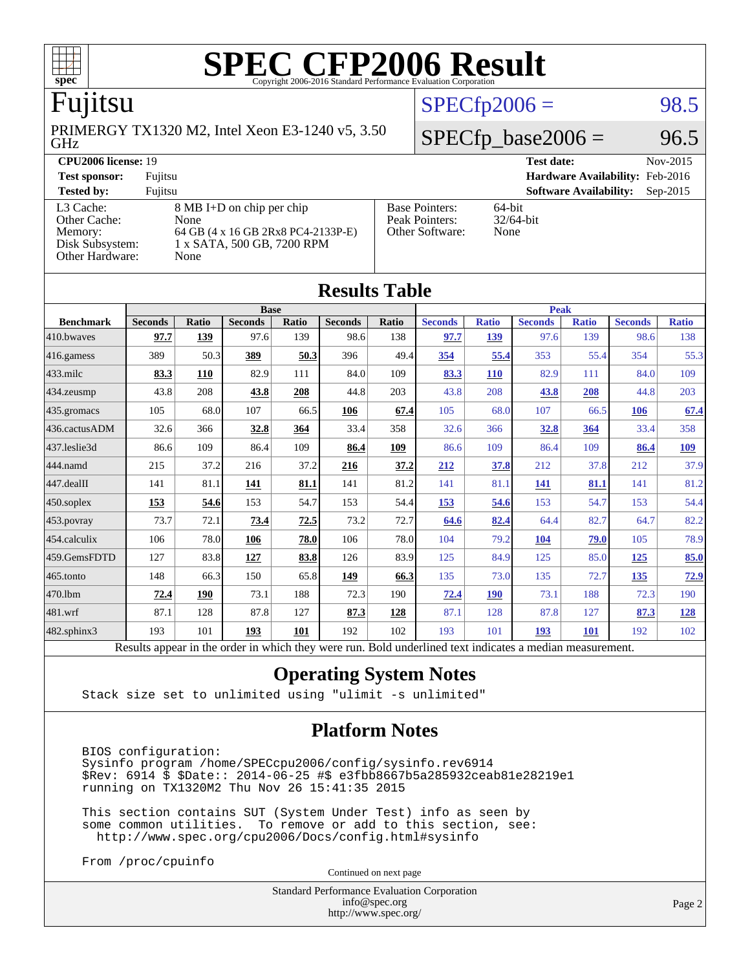

# Fujitsu

GHz PRIMERGY TX1320 M2, Intel Xeon E3-1240 v5, 3.50

[Other Cache:](http://www.spec.org/auto/cpu2006/Docs/result-fields.html#OtherCache) [Other Hardware:](http://www.spec.org/auto/cpu2006/Docs/result-fields.html#OtherHardware) None

[L3 Cache:](http://www.spec.org/auto/cpu2006/Docs/result-fields.html#L3Cache) 8 MB I+D on chip per chip<br>Other Cache: None [Memory:](http://www.spec.org/auto/cpu2006/Docs/result-fields.html#Memory) 64 GB (4 x 16 GB 2Rx8 PC4-2133P-E) [Disk Subsystem:](http://www.spec.org/auto/cpu2006/Docs/result-fields.html#DiskSubsystem) 1 x SATA, 500 GB, 7200 RPM

| <b>CPU2006 license: 19</b> |                            |               | Test date:                             | Nov-2015 |
|----------------------------|----------------------------|---------------|----------------------------------------|----------|
| <b>Test sponsor:</b>       | Fujitsu                    |               | <b>Hardware Availability: Feb-2016</b> |          |
| <b>Tested by:</b>          | Fuiitsu                    |               | <b>Software Availability:</b> Sep-2015 |          |
| I 2 $Cacha$ .              | $RMR I+D$ on chin per chin | Raca Pointers | $64$ hit                               |          |

[Peak Pointers:](http://www.spec.org/auto/cpu2006/Docs/result-fields.html#PeakPointers)

[Other Software:](http://www.spec.org/auto/cpu2006/Docs/result-fields.html#OtherSoftware) None

64-bit<br>32/64-bit

 $SPECTp2006 = 98.5$ 

 $SPECTp\_base2006 = 96.5$ 

| <b>Results Table</b>                                                                                     |                |              |                |       |                |       |                |              |                |              |                |              |
|----------------------------------------------------------------------------------------------------------|----------------|--------------|----------------|-------|----------------|-------|----------------|--------------|----------------|--------------|----------------|--------------|
|                                                                                                          | <b>Base</b>    |              |                |       |                |       | <b>Peak</b>    |              |                |              |                |              |
| <b>Benchmark</b>                                                                                         | <b>Seconds</b> | <b>Ratio</b> | <b>Seconds</b> | Ratio | <b>Seconds</b> | Ratio | <b>Seconds</b> | <b>Ratio</b> | <b>Seconds</b> | <b>Ratio</b> | <b>Seconds</b> | <b>Ratio</b> |
| 410.bwayes                                                                                               | 97.7           | 139          | 97.6           | 139   | 98.6           | 138   | 97.7           | 139          | 97.6           | 139          | 98.6           | 138          |
| 416.gamess                                                                                               | 389            | 50.3         | 389            | 50.3  | 396            | 49.4  | 354            | 55.4         | 353            | 55.4         | 354            | 55.3         |
| $433$ .milc                                                                                              | 83.3           | 110          | 82.9           | 111   | 84.0           | 109   | 83.3           | 110          | 82.9           | 111          | 84.0           | 109          |
| 434.zeusmp                                                                                               | 43.8           | 208          | 43.8           | 208   | 44.8           | 203   | 43.8           | 208          | 43.8           | 208          | 44.8           | 203          |
| 435.gromacs                                                                                              | 105            | 68.0         | 107            | 66.5  | 106            | 67.4  | 105            | 68.0         | 107            | 66.5         | 106            | 67.4         |
| 436.cactusADM                                                                                            | 32.6           | 366          | 32.8           | 364   | 33.4           | 358   | 32.6           | 366          | 32.8           | 364          | 33.4           | 358          |
| 437.leslie3d                                                                                             | 86.6           | 109          | 86.4           | 109   | 86.4           | 109   | 86.6           | 109          | 86.4           | 109          | 86.4           | <b>109</b>   |
| 444.namd                                                                                                 | 215            | 37.2         | 216            | 37.2  | 216            | 37.2  | 212            | 37.8         | 212            | 37.8         | 212            | 37.9         |
| 447.dealII                                                                                               | 141            | 81.1         | <u>141</u>     | 81.1  | 141            | 81.2  | 141            | 81.1         | 141            | 81.1         | 141            | 81.2         |
| 450.soplex                                                                                               | 153            | 54.6         | 153            | 54.7  | 153            | 54.4  | 153            | 54.6         | 153            | 54.7         | 153            | 54.4         |
| 453.povray                                                                                               | 73.7           | 72.1         | 73.4           | 72.5  | 73.2           | 72.7  | 64.6           | 82.4         | 64.4           | 82.7         | 64.7           | 82.2         |
| 454.calculix                                                                                             | 106            | 78.0         | 106            | 78.0  | 106            | 78.0  | 104            | 79.2         | 104            | 79.0         | 105            | 78.9         |
| 459.GemsFDTD                                                                                             | 127            | 83.8         | 127            | 83.8  | 126            | 83.9  | 125            | 84.9         | 125            | 85.0         | 125            | 85.0         |
| 465.tonto                                                                                                | 148            | 66.3         | 150            | 65.8  | 149            | 66.3  | 135            | 73.0         | 135            | 72.7         | <u>135</u>     | 72.9         |
| 470.1bm                                                                                                  | 72.4           | 190          | 73.1           | 188   | 72.3           | 190   | 72.4           | <b>190</b>   | 73.1           | 188          | 72.3           | 190          |
| 481.wrf                                                                                                  | 87.1           | 128          | 87.8           | 127   | 87.3           | 128   | 87.1           | 128          | 87.8           | 127          | 87.3           | <b>128</b>   |
| 482.sphinx3                                                                                              | 193            | 101          | 193            | 101   | 192            | 102   | 193            | 101          | 193            | <b>101</b>   | 192            | 102          |
| Results appear in the order in which they were run. Bold underlined text indicates a median measurement. |                |              |                |       |                |       |                |              |                |              |                |              |

### **[Operating System Notes](http://www.spec.org/auto/cpu2006/Docs/result-fields.html#OperatingSystemNotes)**

Stack size set to unlimited using "ulimit -s unlimited"

### **[Platform Notes](http://www.spec.org/auto/cpu2006/Docs/result-fields.html#PlatformNotes)**

 BIOS configuration: Sysinfo program /home/SPECcpu2006/config/sysinfo.rev6914 \$Rev: 6914 \$ \$Date:: 2014-06-25 #\$ e3fbb8667b5a285932ceab81e28219e1 running on TX1320M2 Thu Nov 26 15:41:35 2015

 This section contains SUT (System Under Test) info as seen by some common utilities. To remove or add to this section, see: <http://www.spec.org/cpu2006/Docs/config.html#sysinfo>

From /proc/cpuinfo

Continued on next page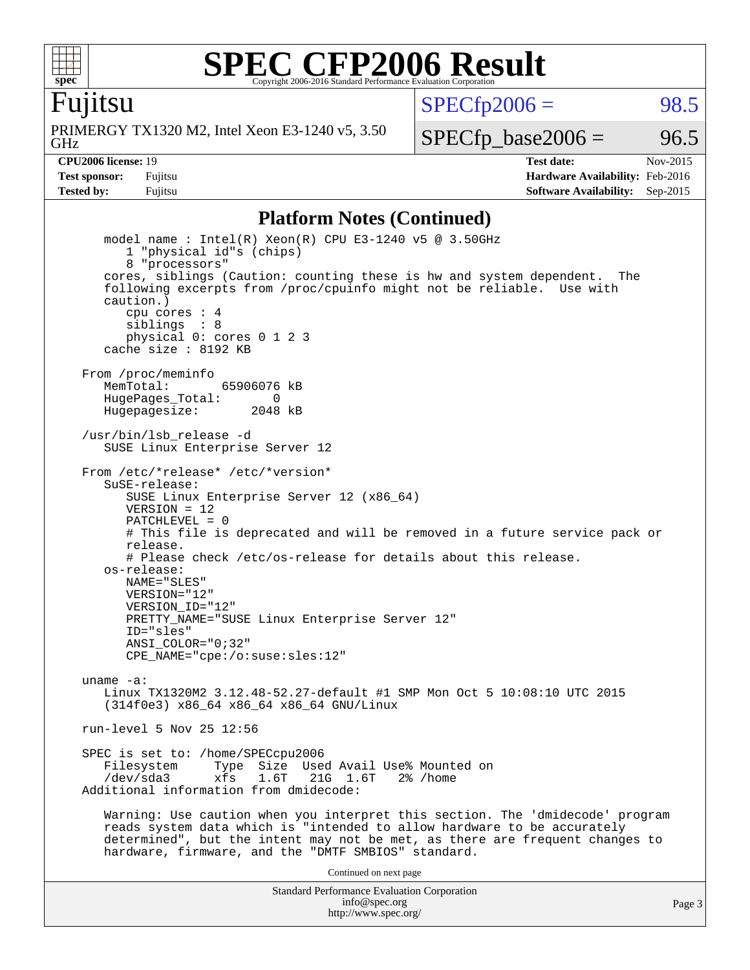

Fujitsu

GHz PRIMERGY TX1320 M2, Intel Xeon E3-1240 v5, 3.50  $SPECTp2006 = 98.5$ 

 $SPECTp\_base2006 = 96.5$ 

**[CPU2006 license:](http://www.spec.org/auto/cpu2006/Docs/result-fields.html#CPU2006license)** 19 **[Test date:](http://www.spec.org/auto/cpu2006/Docs/result-fields.html#Testdate)** Nov-2015 **[Test sponsor:](http://www.spec.org/auto/cpu2006/Docs/result-fields.html#Testsponsor)** Fujitsu **[Hardware Availability:](http://www.spec.org/auto/cpu2006/Docs/result-fields.html#HardwareAvailability)** Feb-2016 **[Tested by:](http://www.spec.org/auto/cpu2006/Docs/result-fields.html#Testedby)** Fujitsu **Fugital Example 2015 [Software Availability:](http://www.spec.org/auto/cpu2006/Docs/result-fields.html#SoftwareAvailability)** Sep-2015

#### **[Platform Notes \(Continued\)](http://www.spec.org/auto/cpu2006/Docs/result-fields.html#PlatformNotes)**

Standard Performance Evaluation Corporation [info@spec.org](mailto:info@spec.org) model name : Intel(R) Xeon(R) CPU E3-1240 v5 @ 3.50GHz 1 "physical id"s (chips) 8 "processors" cores, siblings (Caution: counting these is hw and system dependent. The following excerpts from /proc/cpuinfo might not be reliable. Use with caution.) cpu cores : 4 siblings : 8 physical 0: cores 0 1 2 3 cache size : 8192 KB From /proc/meminfo MemTotal: 65906076 kB HugePages\_Total: 0<br>Hugepagesize: 2048 kB Hugepagesize: /usr/bin/lsb\_release -d SUSE Linux Enterprise Server 12 From /etc/\*release\* /etc/\*version\* SuSE-release: SUSE Linux Enterprise Server 12 (x86\_64)  $VFRSTON = 12$  PATCHLEVEL = 0 # This file is deprecated and will be removed in a future service pack or release. # Please check /etc/os-release for details about this release. os-release: NAME="SLES" VERSION="12" VERSION\_ID="12" PRETTY\_NAME="SUSE Linux Enterprise Server 12" ID="sles" ANSI\_COLOR="0;32" CPE\_NAME="cpe:/o:suse:sles:12" uname -a: Linux TX1320M2 3.12.48-52.27-default #1 SMP Mon Oct 5 10:08:10 UTC 2015 (314f0e3) x86\_64 x86\_64 x86\_64 GNU/Linux run-level 5 Nov 25 12:56 SPEC is set to: /home/SPECcpu2006<br>Filesystem Type Size Use Type Size Used Avail Use% Mounted on /dev/sda3 xfs 1.6T 21G 1.6T 2% /home Additional information from dmidecode: Warning: Use caution when you interpret this section. The 'dmidecode' program reads system data which is "intended to allow hardware to be accurately determined", but the intent may not be met, as there are frequent changes to hardware, firmware, and the "DMTF SMBIOS" standard. Continued on next page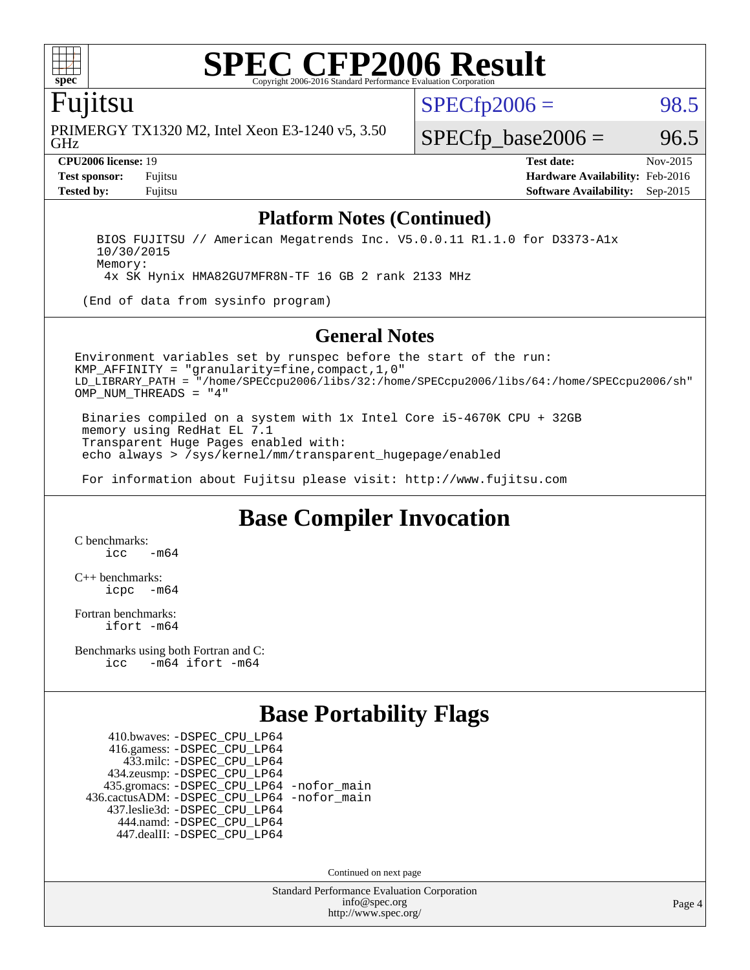

### Fujitsu

GHz PRIMERGY TX1320 M2, Intel Xeon E3-1240 v5, 3.50  $SPECTp2006 = 98.5$ 

 $SPECTp\_base2006 = 96.5$ 

**[CPU2006 license:](http://www.spec.org/auto/cpu2006/Docs/result-fields.html#CPU2006license)** 19 **[Test date:](http://www.spec.org/auto/cpu2006/Docs/result-fields.html#Testdate)** Nov-2015 **[Test sponsor:](http://www.spec.org/auto/cpu2006/Docs/result-fields.html#Testsponsor)** Fujitsu **[Hardware Availability:](http://www.spec.org/auto/cpu2006/Docs/result-fields.html#HardwareAvailability)** Feb-2016 **[Tested by:](http://www.spec.org/auto/cpu2006/Docs/result-fields.html#Testedby)** Fujitsu **[Software Availability:](http://www.spec.org/auto/cpu2006/Docs/result-fields.html#SoftwareAvailability)** Sep-2015

#### **[Platform Notes \(Continued\)](http://www.spec.org/auto/cpu2006/Docs/result-fields.html#PlatformNotes)**

 BIOS FUJITSU // American Megatrends Inc. V5.0.0.11 R1.1.0 for D3373-A1x 10/30/2015 Memory:

4x SK Hynix HMA82GU7MFR8N-TF 16 GB 2 rank 2133 MHz

(End of data from sysinfo program)

#### **[General Notes](http://www.spec.org/auto/cpu2006/Docs/result-fields.html#GeneralNotes)**

Environment variables set by runspec before the start of the run: KMP\_AFFINITY = "granularity=fine,compact,1,0" LD\_LIBRARY\_PATH = "/home/SPECcpu2006/libs/32:/home/SPECcpu2006/libs/64:/home/SPECcpu2006/sh" OMP NUM THREADS = "4"

 Binaries compiled on a system with 1x Intel Core i5-4670K CPU + 32GB memory using RedHat EL 7.1 Transparent Huge Pages enabled with: echo always > /sys/kernel/mm/transparent\_hugepage/enabled

For information about Fujitsu please visit: <http://www.fujitsu.com>

# **[Base Compiler Invocation](http://www.spec.org/auto/cpu2006/Docs/result-fields.html#BaseCompilerInvocation)**

[C benchmarks](http://www.spec.org/auto/cpu2006/Docs/result-fields.html#Cbenchmarks):  $\frac{1}{2}$ cc  $-\text{m64}$ 

[C++ benchmarks:](http://www.spec.org/auto/cpu2006/Docs/result-fields.html#CXXbenchmarks) [icpc -m64](http://www.spec.org/cpu2006/results/res2016q1/cpu2006-20160111-38683.flags.html#user_CXXbase_intel_icpc_64bit_bedb90c1146cab66620883ef4f41a67e)

[Fortran benchmarks](http://www.spec.org/auto/cpu2006/Docs/result-fields.html#Fortranbenchmarks): [ifort -m64](http://www.spec.org/cpu2006/results/res2016q1/cpu2006-20160111-38683.flags.html#user_FCbase_intel_ifort_64bit_ee9d0fb25645d0210d97eb0527dcc06e)

[Benchmarks using both Fortran and C](http://www.spec.org/auto/cpu2006/Docs/result-fields.html#BenchmarksusingbothFortranandC): [icc -m64](http://www.spec.org/cpu2006/results/res2016q1/cpu2006-20160111-38683.flags.html#user_CC_FCbase_intel_icc_64bit_0b7121f5ab7cfabee23d88897260401c) [ifort -m64](http://www.spec.org/cpu2006/results/res2016q1/cpu2006-20160111-38683.flags.html#user_CC_FCbase_intel_ifort_64bit_ee9d0fb25645d0210d97eb0527dcc06e)

# **[Base Portability Flags](http://www.spec.org/auto/cpu2006/Docs/result-fields.html#BasePortabilityFlags)**

 410.bwaves: [-DSPEC\\_CPU\\_LP64](http://www.spec.org/cpu2006/results/res2016q1/cpu2006-20160111-38683.flags.html#suite_basePORTABILITY410_bwaves_DSPEC_CPU_LP64) 416.gamess: [-DSPEC\\_CPU\\_LP64](http://www.spec.org/cpu2006/results/res2016q1/cpu2006-20160111-38683.flags.html#suite_basePORTABILITY416_gamess_DSPEC_CPU_LP64) 433.milc: [-DSPEC\\_CPU\\_LP64](http://www.spec.org/cpu2006/results/res2016q1/cpu2006-20160111-38683.flags.html#suite_basePORTABILITY433_milc_DSPEC_CPU_LP64) 434.zeusmp: [-DSPEC\\_CPU\\_LP64](http://www.spec.org/cpu2006/results/res2016q1/cpu2006-20160111-38683.flags.html#suite_basePORTABILITY434_zeusmp_DSPEC_CPU_LP64) 435.gromacs: [-DSPEC\\_CPU\\_LP64](http://www.spec.org/cpu2006/results/res2016q1/cpu2006-20160111-38683.flags.html#suite_basePORTABILITY435_gromacs_DSPEC_CPU_LP64) [-nofor\\_main](http://www.spec.org/cpu2006/results/res2016q1/cpu2006-20160111-38683.flags.html#user_baseLDPORTABILITY435_gromacs_f-nofor_main) 436.cactusADM: [-DSPEC\\_CPU\\_LP64](http://www.spec.org/cpu2006/results/res2016q1/cpu2006-20160111-38683.flags.html#suite_basePORTABILITY436_cactusADM_DSPEC_CPU_LP64) [-nofor\\_main](http://www.spec.org/cpu2006/results/res2016q1/cpu2006-20160111-38683.flags.html#user_baseLDPORTABILITY436_cactusADM_f-nofor_main) 437.leslie3d: [-DSPEC\\_CPU\\_LP64](http://www.spec.org/cpu2006/results/res2016q1/cpu2006-20160111-38683.flags.html#suite_basePORTABILITY437_leslie3d_DSPEC_CPU_LP64) 444.namd: [-DSPEC\\_CPU\\_LP64](http://www.spec.org/cpu2006/results/res2016q1/cpu2006-20160111-38683.flags.html#suite_basePORTABILITY444_namd_DSPEC_CPU_LP64) 447.dealII: [-DSPEC\\_CPU\\_LP64](http://www.spec.org/cpu2006/results/res2016q1/cpu2006-20160111-38683.flags.html#suite_basePORTABILITY447_dealII_DSPEC_CPU_LP64)

Continued on next page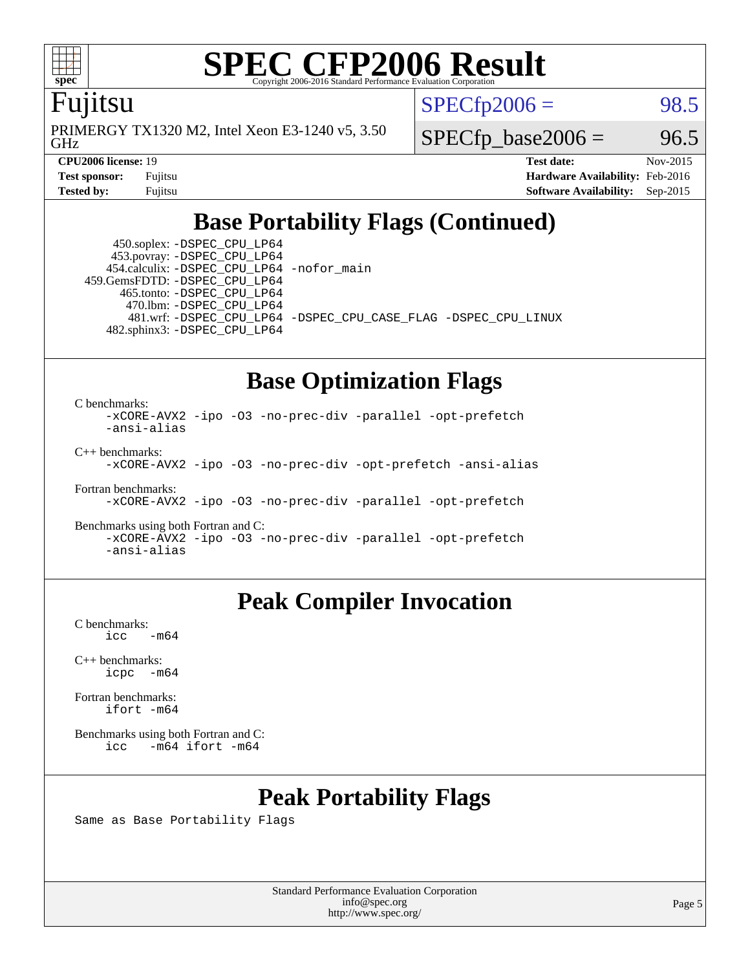

## Fujitsu

GHz PRIMERGY TX1320 M2, Intel Xeon E3-1240 v5, 3.50  $SPECTp2006 = 98.5$ 

 $SPECTp\_base2006 = 96.5$ 

**[CPU2006 license:](http://www.spec.org/auto/cpu2006/Docs/result-fields.html#CPU2006license)** 19 **[Test date:](http://www.spec.org/auto/cpu2006/Docs/result-fields.html#Testdate)** Nov-2015 **[Test sponsor:](http://www.spec.org/auto/cpu2006/Docs/result-fields.html#Testsponsor)** Fujitsu **[Hardware Availability:](http://www.spec.org/auto/cpu2006/Docs/result-fields.html#HardwareAvailability)** Feb-2016 **[Tested by:](http://www.spec.org/auto/cpu2006/Docs/result-fields.html#Testedby)** Fujitsu **[Software Availability:](http://www.spec.org/auto/cpu2006/Docs/result-fields.html#SoftwareAvailability)** Sep-2015

# **[Base Portability Flags \(Continued\)](http://www.spec.org/auto/cpu2006/Docs/result-fields.html#BasePortabilityFlags)**

 450.soplex: [-DSPEC\\_CPU\\_LP64](http://www.spec.org/cpu2006/results/res2016q1/cpu2006-20160111-38683.flags.html#suite_basePORTABILITY450_soplex_DSPEC_CPU_LP64) 453.povray: [-DSPEC\\_CPU\\_LP64](http://www.spec.org/cpu2006/results/res2016q1/cpu2006-20160111-38683.flags.html#suite_basePORTABILITY453_povray_DSPEC_CPU_LP64) 454.calculix: [-DSPEC\\_CPU\\_LP64](http://www.spec.org/cpu2006/results/res2016q1/cpu2006-20160111-38683.flags.html#suite_basePORTABILITY454_calculix_DSPEC_CPU_LP64) [-nofor\\_main](http://www.spec.org/cpu2006/results/res2016q1/cpu2006-20160111-38683.flags.html#user_baseLDPORTABILITY454_calculix_f-nofor_main) 459.GemsFDTD: [-DSPEC\\_CPU\\_LP64](http://www.spec.org/cpu2006/results/res2016q1/cpu2006-20160111-38683.flags.html#suite_basePORTABILITY459_GemsFDTD_DSPEC_CPU_LP64) 465.tonto: [-DSPEC\\_CPU\\_LP64](http://www.spec.org/cpu2006/results/res2016q1/cpu2006-20160111-38683.flags.html#suite_basePORTABILITY465_tonto_DSPEC_CPU_LP64) 470.lbm: [-DSPEC\\_CPU\\_LP64](http://www.spec.org/cpu2006/results/res2016q1/cpu2006-20160111-38683.flags.html#suite_basePORTABILITY470_lbm_DSPEC_CPU_LP64) 482.sphinx3: [-DSPEC\\_CPU\\_LP64](http://www.spec.org/cpu2006/results/res2016q1/cpu2006-20160111-38683.flags.html#suite_basePORTABILITY482_sphinx3_DSPEC_CPU_LP64)

481.wrf: [-DSPEC\\_CPU\\_LP64](http://www.spec.org/cpu2006/results/res2016q1/cpu2006-20160111-38683.flags.html#suite_basePORTABILITY481_wrf_DSPEC_CPU_LP64) [-DSPEC\\_CPU\\_CASE\\_FLAG](http://www.spec.org/cpu2006/results/res2016q1/cpu2006-20160111-38683.flags.html#b481.wrf_baseCPORTABILITY_DSPEC_CPU_CASE_FLAG) [-DSPEC\\_CPU\\_LINUX](http://www.spec.org/cpu2006/results/res2016q1/cpu2006-20160111-38683.flags.html#b481.wrf_baseCPORTABILITY_DSPEC_CPU_LINUX)

## **[Base Optimization Flags](http://www.spec.org/auto/cpu2006/Docs/result-fields.html#BaseOptimizationFlags)**

[C benchmarks](http://www.spec.org/auto/cpu2006/Docs/result-fields.html#Cbenchmarks):

[-xCORE-AVX2](http://www.spec.org/cpu2006/results/res2016q1/cpu2006-20160111-38683.flags.html#user_CCbase_f-xAVX2_5f5fc0cbe2c9f62c816d3e45806c70d7) [-ipo](http://www.spec.org/cpu2006/results/res2016q1/cpu2006-20160111-38683.flags.html#user_CCbase_f-ipo) [-O3](http://www.spec.org/cpu2006/results/res2016q1/cpu2006-20160111-38683.flags.html#user_CCbase_f-O3) [-no-prec-div](http://www.spec.org/cpu2006/results/res2016q1/cpu2006-20160111-38683.flags.html#user_CCbase_f-no-prec-div) [-parallel](http://www.spec.org/cpu2006/results/res2016q1/cpu2006-20160111-38683.flags.html#user_CCbase_f-parallel) [-opt-prefetch](http://www.spec.org/cpu2006/results/res2016q1/cpu2006-20160111-38683.flags.html#user_CCbase_f-opt-prefetch) [-ansi-alias](http://www.spec.org/cpu2006/results/res2016q1/cpu2006-20160111-38683.flags.html#user_CCbase_f-ansi-alias) [C++ benchmarks:](http://www.spec.org/auto/cpu2006/Docs/result-fields.html#CXXbenchmarks)

[-xCORE-AVX2](http://www.spec.org/cpu2006/results/res2016q1/cpu2006-20160111-38683.flags.html#user_CXXbase_f-xAVX2_5f5fc0cbe2c9f62c816d3e45806c70d7) [-ipo](http://www.spec.org/cpu2006/results/res2016q1/cpu2006-20160111-38683.flags.html#user_CXXbase_f-ipo) [-O3](http://www.spec.org/cpu2006/results/res2016q1/cpu2006-20160111-38683.flags.html#user_CXXbase_f-O3) [-no-prec-div](http://www.spec.org/cpu2006/results/res2016q1/cpu2006-20160111-38683.flags.html#user_CXXbase_f-no-prec-div) [-opt-prefetch](http://www.spec.org/cpu2006/results/res2016q1/cpu2006-20160111-38683.flags.html#user_CXXbase_f-opt-prefetch) [-ansi-alias](http://www.spec.org/cpu2006/results/res2016q1/cpu2006-20160111-38683.flags.html#user_CXXbase_f-ansi-alias)

[Fortran benchmarks](http://www.spec.org/auto/cpu2006/Docs/result-fields.html#Fortranbenchmarks): [-xCORE-AVX2](http://www.spec.org/cpu2006/results/res2016q1/cpu2006-20160111-38683.flags.html#user_FCbase_f-xAVX2_5f5fc0cbe2c9f62c816d3e45806c70d7) [-ipo](http://www.spec.org/cpu2006/results/res2016q1/cpu2006-20160111-38683.flags.html#user_FCbase_f-ipo) [-O3](http://www.spec.org/cpu2006/results/res2016q1/cpu2006-20160111-38683.flags.html#user_FCbase_f-O3) [-no-prec-div](http://www.spec.org/cpu2006/results/res2016q1/cpu2006-20160111-38683.flags.html#user_FCbase_f-no-prec-div) [-parallel](http://www.spec.org/cpu2006/results/res2016q1/cpu2006-20160111-38683.flags.html#user_FCbase_f-parallel) [-opt-prefetch](http://www.spec.org/cpu2006/results/res2016q1/cpu2006-20160111-38683.flags.html#user_FCbase_f-opt-prefetch)

[Benchmarks using both Fortran and C](http://www.spec.org/auto/cpu2006/Docs/result-fields.html#BenchmarksusingbothFortranandC): [-xCORE-AVX2](http://www.spec.org/cpu2006/results/res2016q1/cpu2006-20160111-38683.flags.html#user_CC_FCbase_f-xAVX2_5f5fc0cbe2c9f62c816d3e45806c70d7) [-ipo](http://www.spec.org/cpu2006/results/res2016q1/cpu2006-20160111-38683.flags.html#user_CC_FCbase_f-ipo) [-O3](http://www.spec.org/cpu2006/results/res2016q1/cpu2006-20160111-38683.flags.html#user_CC_FCbase_f-O3) [-no-prec-div](http://www.spec.org/cpu2006/results/res2016q1/cpu2006-20160111-38683.flags.html#user_CC_FCbase_f-no-prec-div) [-parallel](http://www.spec.org/cpu2006/results/res2016q1/cpu2006-20160111-38683.flags.html#user_CC_FCbase_f-parallel) [-opt-prefetch](http://www.spec.org/cpu2006/results/res2016q1/cpu2006-20160111-38683.flags.html#user_CC_FCbase_f-opt-prefetch) [-ansi-alias](http://www.spec.org/cpu2006/results/res2016q1/cpu2006-20160111-38683.flags.html#user_CC_FCbase_f-ansi-alias)

# **[Peak Compiler Invocation](http://www.spec.org/auto/cpu2006/Docs/result-fields.html#PeakCompilerInvocation)**

[C benchmarks](http://www.spec.org/auto/cpu2006/Docs/result-fields.html#Cbenchmarks):  $\text{icc}$   $-\text{m64}$ 

[C++ benchmarks:](http://www.spec.org/auto/cpu2006/Docs/result-fields.html#CXXbenchmarks) [icpc -m64](http://www.spec.org/cpu2006/results/res2016q1/cpu2006-20160111-38683.flags.html#user_CXXpeak_intel_icpc_64bit_bedb90c1146cab66620883ef4f41a67e)

[Fortran benchmarks](http://www.spec.org/auto/cpu2006/Docs/result-fields.html#Fortranbenchmarks): [ifort -m64](http://www.spec.org/cpu2006/results/res2016q1/cpu2006-20160111-38683.flags.html#user_FCpeak_intel_ifort_64bit_ee9d0fb25645d0210d97eb0527dcc06e)

[Benchmarks using both Fortran and C](http://www.spec.org/auto/cpu2006/Docs/result-fields.html#BenchmarksusingbothFortranandC): [icc -m64](http://www.spec.org/cpu2006/results/res2016q1/cpu2006-20160111-38683.flags.html#user_CC_FCpeak_intel_icc_64bit_0b7121f5ab7cfabee23d88897260401c) [ifort -m64](http://www.spec.org/cpu2006/results/res2016q1/cpu2006-20160111-38683.flags.html#user_CC_FCpeak_intel_ifort_64bit_ee9d0fb25645d0210d97eb0527dcc06e)

# **[Peak Portability Flags](http://www.spec.org/auto/cpu2006/Docs/result-fields.html#PeakPortabilityFlags)**

Same as Base Portability Flags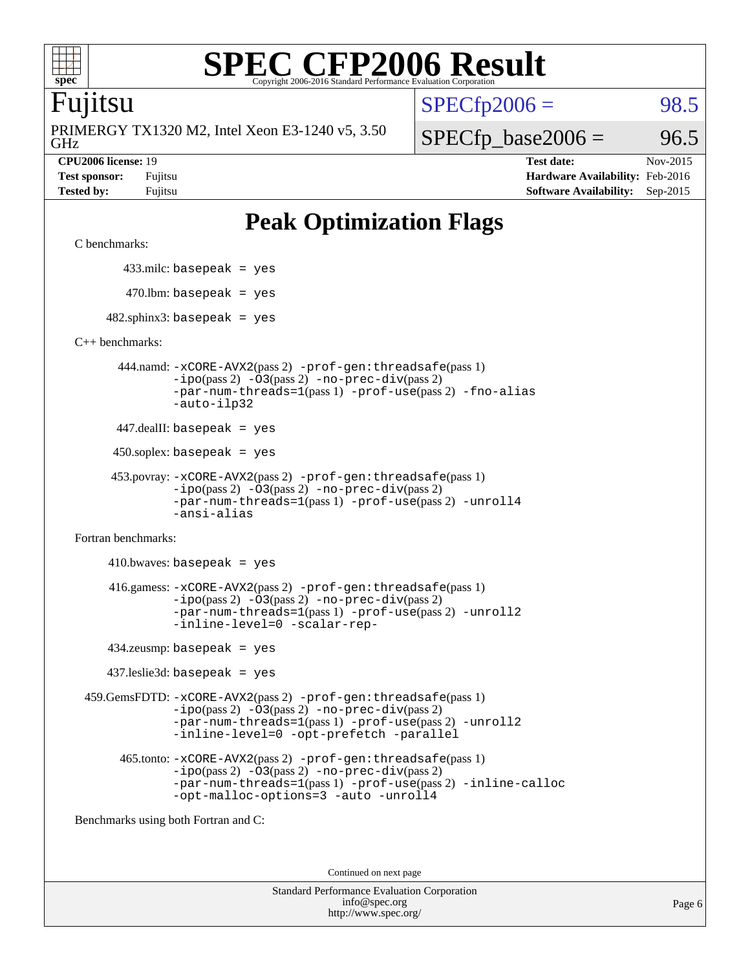

## Fujitsu

GHz PRIMERGY TX1320 M2, Intel Xeon E3-1240 v5, 3.50  $SPECTp2006 = 98.5$ 

 $SPECfp\_base2006 = 96.5$ 

**[CPU2006 license:](http://www.spec.org/auto/cpu2006/Docs/result-fields.html#CPU2006license)** 19 **[Test date:](http://www.spec.org/auto/cpu2006/Docs/result-fields.html#Testdate)** Nov-2015 **[Test sponsor:](http://www.spec.org/auto/cpu2006/Docs/result-fields.html#Testsponsor)** Fujitsu **[Hardware Availability:](http://www.spec.org/auto/cpu2006/Docs/result-fields.html#HardwareAvailability)** Feb-2016 **[Tested by:](http://www.spec.org/auto/cpu2006/Docs/result-fields.html#Testedby)** Fujitsu **[Software Availability:](http://www.spec.org/auto/cpu2006/Docs/result-fields.html#SoftwareAvailability)** Sep-2015

# **[Peak Optimization Flags](http://www.spec.org/auto/cpu2006/Docs/result-fields.html#PeakOptimizationFlags)**

```
C benchmarks:
```
433.milc: basepeak = yes

 $470.$ lbm: basepeak = yes

 $482$ .sphinx3: basepeak = yes

[C++ benchmarks:](http://www.spec.org/auto/cpu2006/Docs/result-fields.html#CXXbenchmarks)

 444.namd: [-xCORE-AVX2](http://www.spec.org/cpu2006/results/res2016q1/cpu2006-20160111-38683.flags.html#user_peakPASS2_CXXFLAGSPASS2_LDFLAGS444_namd_f-xAVX2_5f5fc0cbe2c9f62c816d3e45806c70d7)(pass 2) [-prof-gen:threadsafe](http://www.spec.org/cpu2006/results/res2016q1/cpu2006-20160111-38683.flags.html#user_peakPASS1_CXXFLAGSPASS1_LDFLAGS444_namd_prof_gen_21a26eb79f378b550acd7bec9fe4467a)(pass 1) [-ipo](http://www.spec.org/cpu2006/results/res2016q1/cpu2006-20160111-38683.flags.html#user_peakPASS2_CXXFLAGSPASS2_LDFLAGS444_namd_f-ipo)(pass 2) [-O3](http://www.spec.org/cpu2006/results/res2016q1/cpu2006-20160111-38683.flags.html#user_peakPASS2_CXXFLAGSPASS2_LDFLAGS444_namd_f-O3)(pass 2) [-no-prec-div](http://www.spec.org/cpu2006/results/res2016q1/cpu2006-20160111-38683.flags.html#user_peakPASS2_CXXFLAGSPASS2_LDFLAGS444_namd_f-no-prec-div)(pass 2) [-par-num-threads=1](http://www.spec.org/cpu2006/results/res2016q1/cpu2006-20160111-38683.flags.html#user_peakPASS1_CXXFLAGSPASS1_LDFLAGS444_namd_par_num_threads_786a6ff141b4e9e90432e998842df6c2)(pass 1) [-prof-use](http://www.spec.org/cpu2006/results/res2016q1/cpu2006-20160111-38683.flags.html#user_peakPASS2_CXXFLAGSPASS2_LDFLAGS444_namd_prof_use_bccf7792157ff70d64e32fe3e1250b55)(pass 2) [-fno-alias](http://www.spec.org/cpu2006/results/res2016q1/cpu2006-20160111-38683.flags.html#user_peakCXXOPTIMIZEOPTIMIZE444_namd_f-no-alias_694e77f6c5a51e658e82ccff53a9e63a) [-auto-ilp32](http://www.spec.org/cpu2006/results/res2016q1/cpu2006-20160111-38683.flags.html#user_peakCXXOPTIMIZE444_namd_f-auto-ilp32)

447.dealII: basepeak = yes

450.soplex: basepeak = yes

```
 453.povray: -xCORE-AVX2(pass 2) -prof-gen:threadsafe(pass 1)
-ipo(pass 2) -O3(pass 2) -no-prec-div(pass 2)
-par-num-threads=1(pass 1) -prof-use(pass 2) -unroll4
-ansi-alias
```
[Fortran benchmarks](http://www.spec.org/auto/cpu2006/Docs/result-fields.html#Fortranbenchmarks):

 $410.bwaves: basepeak = yes$  416.gamess: [-xCORE-AVX2](http://www.spec.org/cpu2006/results/res2016q1/cpu2006-20160111-38683.flags.html#user_peakPASS2_FFLAGSPASS2_LDFLAGS416_gamess_f-xAVX2_5f5fc0cbe2c9f62c816d3e45806c70d7)(pass 2) [-prof-gen:threadsafe](http://www.spec.org/cpu2006/results/res2016q1/cpu2006-20160111-38683.flags.html#user_peakPASS1_FFLAGSPASS1_LDFLAGS416_gamess_prof_gen_21a26eb79f378b550acd7bec9fe4467a)(pass 1)  $-i\text{po}(pass 2) -\text{O3}(pass 2)$  [-no-prec-div](http://www.spec.org/cpu2006/results/res2016q1/cpu2006-20160111-38683.flags.html#user_peakPASS2_FFLAGSPASS2_LDFLAGS416_gamess_f-no-prec-div)(pass 2) [-par-num-threads=1](http://www.spec.org/cpu2006/results/res2016q1/cpu2006-20160111-38683.flags.html#user_peakPASS1_FFLAGSPASS1_LDFLAGS416_gamess_par_num_threads_786a6ff141b4e9e90432e998842df6c2)(pass 1) [-prof-use](http://www.spec.org/cpu2006/results/res2016q1/cpu2006-20160111-38683.flags.html#user_peakPASS2_FFLAGSPASS2_LDFLAGS416_gamess_prof_use_bccf7792157ff70d64e32fe3e1250b55)(pass 2) [-unroll2](http://www.spec.org/cpu2006/results/res2016q1/cpu2006-20160111-38683.flags.html#user_peakOPTIMIZE416_gamess_f-unroll_784dae83bebfb236979b41d2422d7ec2) [-inline-level=0](http://www.spec.org/cpu2006/results/res2016q1/cpu2006-20160111-38683.flags.html#user_peakOPTIMIZE416_gamess_f-inline-level_318d07a09274ad25e8d15dbfaa68ba50) [-scalar-rep-](http://www.spec.org/cpu2006/results/res2016q1/cpu2006-20160111-38683.flags.html#user_peakOPTIMIZE416_gamess_f-disablescalarrep_abbcad04450fb118e4809c81d83c8a1d)

434.zeusmp: basepeak = yes

437.leslie3d: basepeak = yes

 459.GemsFDTD: [-xCORE-AVX2](http://www.spec.org/cpu2006/results/res2016q1/cpu2006-20160111-38683.flags.html#user_peakPASS2_FFLAGSPASS2_LDFLAGS459_GemsFDTD_f-xAVX2_5f5fc0cbe2c9f62c816d3e45806c70d7)(pass 2) [-prof-gen:threadsafe](http://www.spec.org/cpu2006/results/res2016q1/cpu2006-20160111-38683.flags.html#user_peakPASS1_FFLAGSPASS1_LDFLAGS459_GemsFDTD_prof_gen_21a26eb79f378b550acd7bec9fe4467a)(pass 1)  $-i\text{po}(pass 2) -03(pass 2) -no-prec-div(pass 2)$  $-i\text{po}(pass 2) -03(pass 2) -no-prec-div(pass 2)$  $-i\text{po}(pass 2) -03(pass 2) -no-prec-div(pass 2)$ [-par-num-threads=1](http://www.spec.org/cpu2006/results/res2016q1/cpu2006-20160111-38683.flags.html#user_peakPASS1_FFLAGSPASS1_LDFLAGS459_GemsFDTD_par_num_threads_786a6ff141b4e9e90432e998842df6c2)(pass 1) [-prof-use](http://www.spec.org/cpu2006/results/res2016q1/cpu2006-20160111-38683.flags.html#user_peakPASS2_FFLAGSPASS2_LDFLAGS459_GemsFDTD_prof_use_bccf7792157ff70d64e32fe3e1250b55)(pass 2) [-unroll2](http://www.spec.org/cpu2006/results/res2016q1/cpu2006-20160111-38683.flags.html#user_peakOPTIMIZE459_GemsFDTD_f-unroll_784dae83bebfb236979b41d2422d7ec2) [-inline-level=0](http://www.spec.org/cpu2006/results/res2016q1/cpu2006-20160111-38683.flags.html#user_peakOPTIMIZE459_GemsFDTD_f-inline-level_318d07a09274ad25e8d15dbfaa68ba50) [-opt-prefetch](http://www.spec.org/cpu2006/results/res2016q1/cpu2006-20160111-38683.flags.html#user_peakOPTIMIZE459_GemsFDTD_f-opt-prefetch) [-parallel](http://www.spec.org/cpu2006/results/res2016q1/cpu2006-20160111-38683.flags.html#user_peakOPTIMIZE459_GemsFDTD_f-parallel)

 465.tonto: [-xCORE-AVX2](http://www.spec.org/cpu2006/results/res2016q1/cpu2006-20160111-38683.flags.html#user_peakPASS2_FFLAGSPASS2_LDFLAGS465_tonto_f-xAVX2_5f5fc0cbe2c9f62c816d3e45806c70d7)(pass 2) [-prof-gen:threadsafe](http://www.spec.org/cpu2006/results/res2016q1/cpu2006-20160111-38683.flags.html#user_peakPASS1_FFLAGSPASS1_LDFLAGS465_tonto_prof_gen_21a26eb79f378b550acd7bec9fe4467a)(pass 1)  $-i\text{po}(pass 2)$   $-03(pass 2)$   $-no-prec-div(pass 2)$  $-no-prec-div(pass 2)$ [-par-num-threads=1](http://www.spec.org/cpu2006/results/res2016q1/cpu2006-20160111-38683.flags.html#user_peakPASS1_FFLAGSPASS1_LDFLAGS465_tonto_par_num_threads_786a6ff141b4e9e90432e998842df6c2)(pass 1) [-prof-use](http://www.spec.org/cpu2006/results/res2016q1/cpu2006-20160111-38683.flags.html#user_peakPASS2_FFLAGSPASS2_LDFLAGS465_tonto_prof_use_bccf7792157ff70d64e32fe3e1250b55)(pass 2) [-inline-calloc](http://www.spec.org/cpu2006/results/res2016q1/cpu2006-20160111-38683.flags.html#user_peakOPTIMIZE465_tonto_f-inline-calloc) [-opt-malloc-options=3](http://www.spec.org/cpu2006/results/res2016q1/cpu2006-20160111-38683.flags.html#user_peakOPTIMIZE465_tonto_f-opt-malloc-options_13ab9b803cf986b4ee62f0a5998c2238) [-auto](http://www.spec.org/cpu2006/results/res2016q1/cpu2006-20160111-38683.flags.html#user_peakOPTIMIZE465_tonto_f-auto) [-unroll4](http://www.spec.org/cpu2006/results/res2016q1/cpu2006-20160111-38683.flags.html#user_peakOPTIMIZE465_tonto_f-unroll_4e5e4ed65b7fd20bdcd365bec371b81f)

[Benchmarks using both Fortran and C](http://www.spec.org/auto/cpu2006/Docs/result-fields.html#BenchmarksusingbothFortranandC):

Continued on next page